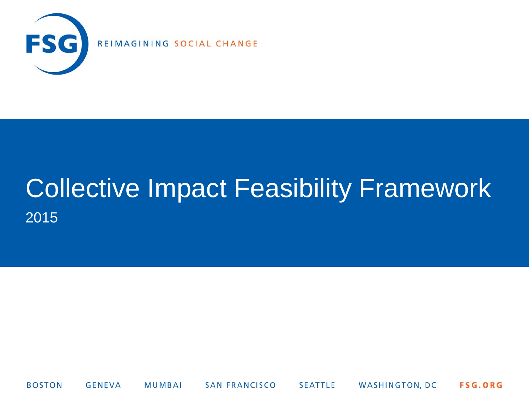

# Collective Impact Feasibility Framework 2015

**SAN FRANCISCO** WASHINGTON, DC **BOSTON GENEVA** MUMBAI **SEATTLE** FSG.ORG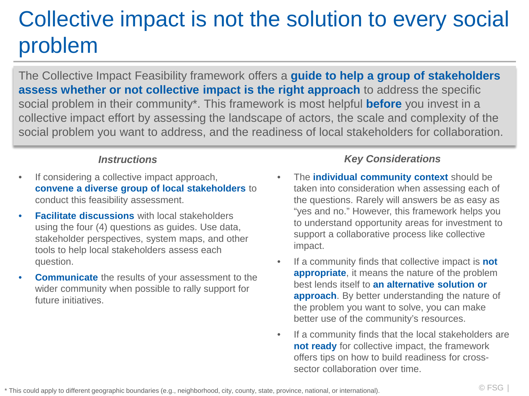## Collective impact is not the solution to every social problem

The Collective Impact Feasibility framework offers a **guide to help a group of stakeholders assess whether or not collective impact is the right approach** to address the specific social problem in their community\*. This framework is most helpful **before** you invest in a collective impact effort by assessing the landscape of actors, the scale and complexity of the social problem you want to address, and the readiness of local stakeholders for collaboration.

- If considering a collective impact approach, **convene a diverse group of local stakeholders** to conduct this feasibility assessment.
- **Facilitate discussions** with local stakeholders using the four (4) questions as guides. Use data, stakeholder perspectives, system maps, and other tools to help local stakeholders assess each question.
- **Communicate** the results of your assessment to the wider community when possible to rally support for future initiatives.

### *Instructions Key Considerations*

- The **individual community context** should be taken into consideration when assessing each of the questions. Rarely will answers be as easy as "yes and no." However, this framework helps you to understand opportunity areas for investment to support a collaborative process like collective impact.
- If a community finds that collective impact is **not appropriate**, it means the nature of the problem best lends itself to **an alternative solution or approach**. By better understanding the nature of the problem you want to solve, you can make better use of the community's resources.
- If a community finds that the local stakeholders are **not ready** for collective impact, the framework offers tips on how to build readiness for crosssector collaboration over time.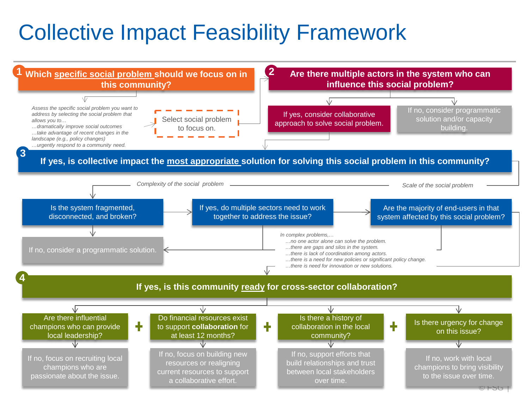### Collective Impact Feasibility Framework

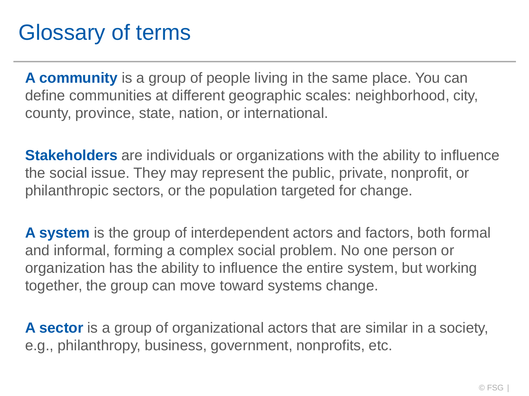### Glossary of terms

**A community** is a group of people living in the same place. You can define communities at different geographic scales: neighborhood, city, county, province, state, nation, or international.

**Stakeholders** are individuals or organizations with the ability to influence the social issue. They may represent the public, private, nonprofit, or philanthropic sectors, or the population targeted for change.

**A system** is the group of interdependent actors and factors, both formal and informal, forming a complex social problem. No one person or organization has the ability to influence the entire system, but working together, the group can move toward systems change.

**A sector** is a group of organizational actors that are similar in a society, e.g., philanthropy, business, government, nonprofits, etc.